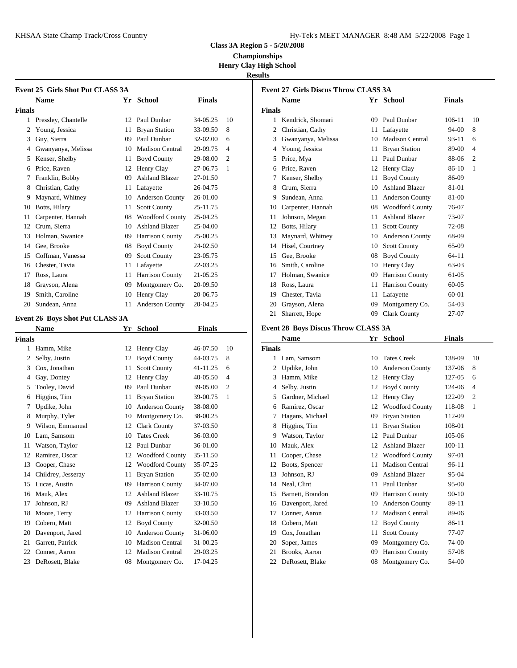KHSAA State Champ Track/Cross Country Hy-Tek's Manager and Tracking Manager 8:48 AM 572-2008 Page 1

| 4y-Tek's MEET MANAGER 8:48 AM 5/22/2008 Page 1 |  |  |  |
|------------------------------------------------|--|--|--|
|------------------------------------------------|--|--|--|

**Class 3A Region 5 - 5/20/2008**

**Championships Henry Clay High School**

**Results**

|            | Event 25 Girls Shot Put CLASS 3A |                 |                        |               |                | Event 27 G    |                 |
|------------|----------------------------------|-----------------|------------------------|---------------|----------------|---------------|-----------------|
|            | <b>Name</b>                      | Yr              | <b>School</b>          | <b>Finals</b> |                |               | <b>Nam</b>      |
| Finals     |                                  |                 |                        |               |                | <b>Finals</b> |                 |
| 1          | Pressley, Chantelle              | 12 <sup>2</sup> | Paul Dunbar            | 34-05.25      | 10             | 1.            | Kend            |
| 2          | Young, Jessica                   | 11              | <b>Bryan Station</b>   | 33-09.50      | 8              |               | Christ          |
| 3          | Guy, Sierra                      | 09              | Paul Dunbar            | 32-02.00      | 6              | 3             | Gwan            |
| 4          | Gwanyanya, Melissa               | 10              | <b>Madison Central</b> | 29-09.75      | $\overline{4}$ | 4             | Youn            |
| 5          | Kenser, Shelby                   | 11              | <b>Boyd County</b>     | 29-08.00      | $\overline{2}$ | 5             | Price.          |
| 6          | Price, Raven                     | 12              | Henry Clay             | 27-06.75      | 1              | 6             | Price,          |
| 7          | Franklin, Bobby                  | 09              | <b>Ashland Blazer</b>  | 27-01.50      |                |               | Kense           |
| 8          | Christian, Cathy                 | 11              | Lafayette              | 26-04.75      |                | 8             | Crum            |
| 9          | Maynard, Whitney                 | 10              | Anderson County        | 26-01.00      |                | 9             | Sunde           |
| 10         | Botts, Hilary                    | 11              | <b>Scott County</b>    | 25-11.75      |                | 10            | Carpe           |
| 11         | Carpenter, Hannah                | 08              | <b>Woodford County</b> | 25-04.25      |                | 11            | Johns           |
| 12         | Crum, Sierra                     | 10              | <b>Ashland Blazer</b>  | 25-04.00      |                | 12            | Botts,          |
| 13         | Holman, Swanice                  | 09              | Harrison County        | 25-00.25      |                | 13            | Mayn            |
| 14         | Gee, Brooke                      | 08              | <b>Boyd County</b>     | 24-02.50      |                | 14            | Hisel,          |
| 15         | Coffman, Vanessa                 | 09              | <b>Scott County</b>    | 23-05.75      |                | 15            | Gee, l          |
| 16         | Chester, Tavia                   | 11              | Lafayette              | 22-03.25      |                | 16            | Smith           |
| 17         | Ross, Laura                      | 11              | Harrison County        | 21-05.25      |                | 17            | Holm            |
| 18         | Grayson, Alena                   | 09              | Montgomery Co.         | 20-09.50      |                | 18            | Ross.           |
| 19         | Smith, Caroline                  | 10              | Henry Clay             | 20-06.75      |                | 19            | Chest           |
| 20         | Sundean, Anna                    | 11              | <b>Anderson County</b> | 20-04.25      |                | 20            | Grays           |
|            |                                  |                 |                        |               |                | 21            | Sharr           |
|            | Event 26 Boys Shot Put CLASS 3A  |                 |                        |               |                |               |                 |
| 172. L. L. | <b>Name</b>                      | Yr              | <b>School</b>          | <b>Finals</b> |                | Event 28 B    | N <sub>cm</sub> |

|        | <b>Name</b>        | Y r | School                 | <b>Finals</b> |                | Event 28 B    |              |
|--------|--------------------|-----|------------------------|---------------|----------------|---------------|--------------|
| Finals |                    |     |                        |               |                |               | <b>Nam</b>   |
| 1      | Hamm, Mike         |     | 12 Henry Clay          | 46-07.50      | 10             | <b>Finals</b> |              |
| 2      | Selby, Justin      | 12  | <b>Boyd County</b>     | 44-03.75      | 8              | 1             | Lam,         |
| 3      | Cox, Jonathan      | 11  | <b>Scott County</b>    | 41-11.25      | 6              |               | Updik        |
| 4      | Gay, Dontey        | 12  | Henry Clay             | 40-05.50      | $\overline{4}$ |               | Hamr         |
| 5      | Tooley, David      | 09  | Paul Dunbar            | 39-05.00      | $\overline{2}$ | 4             | Selby        |
| 6      | Higgins, Tim       | 11  | <b>Bryan Station</b>   | 39-00.75      | 1              | 5             | Gardr        |
| 7      | Updike, John       | 10  | <b>Anderson County</b> | 38-08.00      |                | 6             | Rami         |
| 8      | Murphy, Tyler      | 10  | Montgomery Co.         | 38-00.25      |                |               | Hagai        |
| 9      | Wilson, Emmanual   | 12  | <b>Clark County</b>    | 37-03.50      |                | 8             | Higgi        |
| 10     | Lam, Samsom        | 10  | <b>Tates Creek</b>     | 36-03.00      |                | 9             | Watso        |
| 11     | Watson, Taylor     | 12  | Paul Dunbar            | 36-01.00      |                | 10            | Mauk         |
| 12     | Ramirez, Oscar     | 12  | <b>Woodford County</b> | 35-11.50      |                | 11            | Coop         |
| 13     | Cooper, Chase      | 12  | <b>Woodford County</b> | 35-07.25      |                | 12            | <b>Boots</b> |
| 14     | Childrey, Jesseray | 11  | <b>Bryan Station</b>   | 35-02.00      |                | 13            | Johns        |
| 15     | Lucas, Austin      | 09  | Harrison County        | 34-07.00      |                | 14            | Neal,        |
| 16     | Mauk, Alex         | 12  | <b>Ashland Blazer</b>  | 33-10.75      |                | 15            | Barne        |
| 17     | Johnson, RJ        | 09  | <b>Ashland Blazer</b>  | 33-10.50      |                | 16            | Daver        |
| 18     | Moore, Terry       | 12  | Harrison County        | 33-03.50      |                | 17            | Conne        |
| 19     | Cobern, Matt       | 12  | <b>Boyd County</b>     | 32-00.50      |                | 18            | Cober        |
| 20     | Davenport, Jared   | 10  | <b>Anderson County</b> | 31-06.00      |                | 19            | $Cox,$ .     |
| 21     | Garrett, Patrick   | 10  | <b>Madison Central</b> | 31-00.25      |                | 20            | Soper        |
| 22     | Conner, Aaron      | 12  | <b>Madison Central</b> | 29-03.25      |                | 21            | <b>Brook</b> |
| 23     | DeRosett, Blake    | 08  | Montgomery Co.         | 17-04.25      |                | 22            | DeRo         |
|        |                    |     |                        |               |                |               |              |

|        | <b>Name</b>        |    | Yr School              | <b>Finals</b> |                |
|--------|--------------------|----|------------------------|---------------|----------------|
| Finals |                    |    |                        |               |                |
| 1      | Kendrick, Shomari  | 09 | Paul Dunbar            | 106-11        | 10             |
| 2      | Christian, Cathy   | 11 | Lafayette              | 94-00         | 8              |
| 3      | Gwanyanya, Melissa | 10 | <b>Madison Central</b> | 93-11         | 6              |
| 4      | Young, Jessica     | 11 | <b>Bryan Station</b>   | 89-00         | $\overline{4}$ |
| 5      | Price, Mya         | 11 | Paul Dunbar            | 88-06         | $\overline{c}$ |
| 6      | Price, Raven       | 12 | Henry Clay             | 86-10         | 1              |
| 7      | Kenser, Shelby     | 11 | <b>Boyd County</b>     | 86-09         |                |
| 8      | Crum, Sierra       | 10 | <b>Ashland Blazer</b>  | $81 - 01$     |                |
| 9      | Sundean, Anna      | 11 | <b>Anderson County</b> | 81-00         |                |
| 10     | Carpenter, Hannah  | 08 | <b>Woodford County</b> | 76-07         |                |
| 11     | Johnson, Megan     | 11 | <b>Ashland Blazer</b>  | 73-07         |                |
| 12     | Botts, Hilary      | 11 | <b>Scott County</b>    | 72-08         |                |
| 13     | Maynard, Whitney   | 10 | <b>Anderson County</b> | 68-09         |                |
| 14     | Hisel, Courtney    | 10 | <b>Scott County</b>    | 65-09         |                |
| 15     | Gee, Brooke        | 08 | <b>Boyd County</b>     | $64-11$       |                |
| 16     | Smith, Caroline    | 10 | Henry Clay             | 63-03         |                |
| 17     | Holman, Swanice    | 09 | <b>Harrison County</b> | $61 - 0.5$    |                |
| 18     | Ross, Laura        | 11 | <b>Harrison County</b> | $60 - 05$     |                |
| 19     | Chester, Tavia     | 11 | Lafayette              | 60-01         |                |
| 20     | Grayson, Alena     | 09 | Montgomery Co.         | 54-03         |                |
| 21     | Sharrett, Hope     | 09 | <b>Clark County</b>    | $27-07$       |                |
|        |                    |    |                        |               |                |

# **Event 28 Boys Discus Throw CLASS 3A**<br>Name **Wr. School** Finals

|               | <b>Name</b>      | Yr | <b>School</b>          | <b>Finals</b> |                |
|---------------|------------------|----|------------------------|---------------|----------------|
| <b>Finals</b> |                  |    |                        |               |                |
| 1             | Lam, Samsom      | 10 | <b>Tates Creek</b>     | 138-09        | 10             |
| 2             | Updike, John     | 10 | <b>Anderson County</b> | 137-06        | 8              |
| 3             | Hamm, Mike       | 12 | Henry Clay             | 127-05        | 6              |
| 4             | Selby, Justin    | 12 | <b>Boyd County</b>     | 124-06        | 4              |
| 5             | Gardner, Michael | 12 | Henry Clay             | 122-09        | $\overline{c}$ |
| 6             | Ramirez, Oscar   | 12 | <b>Woodford County</b> | 118-08        | 1              |
| 7             | Hagans, Michael  | 09 | <b>Bryan Station</b>   | 112-09        |                |
| 8             | Higgins, Tim     | 11 | <b>Bryan Station</b>   | 108-01        |                |
| 9             | Watson, Taylor   | 12 | Paul Dunbar            | $105 - 06$    |                |
| 10            | Mauk, Alex       | 12 | <b>Ashland Blazer</b>  | $100 - 11$    |                |
| 11            | Cooper, Chase    | 12 | <b>Woodford County</b> | 97-01         |                |
| 12            | Boots, Spencer   | 11 | <b>Madison Central</b> | 96-11         |                |
| 13            | Johnson, RJ      | 09 | <b>Ashland Blazer</b>  | 95-04         |                |
| 14            | Neal, Clint      | 11 | Paul Dunbar            | $95-00$       |                |
| 15            | Barnett, Brandon | 09 | Harrison County        | $90 - 10$     |                |
| 16            | Davenport, Jared | 10 | <b>Anderson County</b> | 89-11         |                |
| 17            | Conner, Aaron    | 12 | <b>Madison Central</b> | 89-06         |                |
| 18            | Cobern, Matt     | 12 | <b>Boyd County</b>     | 86-11         |                |
| 19            | Cox, Jonathan    | 11 | <b>Scott County</b>    | 77-07         |                |
| 20            | Soper, James     | 09 | Montgomery Co.         | 74-00         |                |
| 21            | Brooks, Aaron    | 09 | Harrison County        | 57-08         |                |
| 22            | DeRosett, Blake  | 08 | Montgomery Co.         | 54-00         |                |
|               |                  |    |                        |               |                |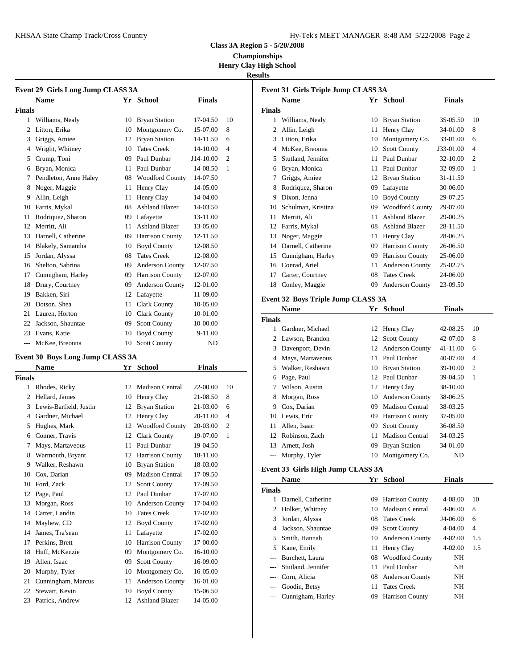| Iy-Tek's MEET MANAGER 8:48 AM 5/22/2008 Page 2 |  |  |  |
|------------------------------------------------|--|--|--|
|------------------------------------------------|--|--|--|

**Class 3A Region 5 - 5/20/2008**

**Championships Henry Clay High School**

## **Results**

|        | Event 29 Girls Long Jump CLASS 3A |    |                        |                |                |               | <b>Event 31 Girls</b> |
|--------|-----------------------------------|----|------------------------|----------------|----------------|---------------|-----------------------|
|        | <b>Name</b>                       |    | Yr School              | <b>Finals</b>  |                |               | <b>Name</b>           |
| Finals |                                   |    |                        |                |                | <b>Finals</b> |                       |
| 1      | Williams, Nealy                   | 10 | <b>Bryan Station</b>   | 17-04.50       | 10             | 1             | Williams,             |
| 2      | Litton, Erika                     | 10 | Montgomery Co.         | 15-07.00       | 8              | 2             | Allin, Leig           |
| 3      | Griggs, Amiee                     | 12 | <b>Bryan Station</b>   | 14-11.50       | 6              | 3             | Litton, Eri           |
| 4      | Wright, Whitney                   | 10 | <b>Tates Creek</b>     | 14-10.00       | $\overline{4}$ | 4             | McKee, B              |
| 5      | Crump, Toni                       | 09 | Paul Dunbar            | J14-10.00      | $\overline{2}$ | 5             | Stutland, J           |
| 6      | Bryan, Monica                     | 11 | Paul Dunbar            | 14-08.50       | 1              | 6             | Bryan, Mo             |
| 7      | Pendleton, Anne Haley             | 08 | <b>Woodford County</b> | 14-07.50       |                |               | Griggs, Ar            |
| 8      | Noger, Maggie                     | 11 | Henry Clay             | 14-05.00       |                | 8             | Rodriquez             |
| 9      | Allin, Leigh                      | 11 | Henry Clay             | 14-04.00       |                | 9             | Dixon, Jen            |
| 10     | Farris, Mykal                     | 08 | <b>Ashland Blazer</b>  | 14-03.50       |                | 10            | Schulman.             |
| 11     | Rodriquez, Sharon                 | 09 | Lafayette              | 13-11.00       |                | 11            | Merritt, Al           |
| 12     | Merritt. Ali                      | 11 | <b>Ashland Blazer</b>  | 13-05.00       |                | 12            | Farris, My            |
| 13     | Darnell, Catherine                | 09 | Harrison County        | 12-11.50       |                | 13            | Noger, Ma             |
| 14     | Blakely, Samantha                 | 10 | <b>Boyd County</b>     | 12-08.50       |                | 14            | Darnell, Ca           |
| 15     | Jordan, Alyssa                    | 08 | <b>Tates Creek</b>     | 12-08.00       |                | 15            | Cunnighan             |
| 16     | Shelton, Sabrina                  | 09 | Anderson County        | 12-07.50       |                | 16            | Conrad, A             |
| 17     | Cunnigham, Harley                 | 09 | Harrison County        | 12-07.00       |                | 17            | Carter, Co            |
| 18     | Drury, Courtney                   | 09 | Anderson County        | 12-01.00       |                | 18            | Conley, M             |
| 19     | Bakken, Siri                      | 12 | Lafayette              | 11-09.00       |                |               |                       |
| 20     | Dotson, Shea                      | 11 | <b>Clark County</b>    | 10-05.00       |                |               | <b>Event 32 Boys</b>  |
| 21     | Lauren, Horton                    | 10 | <b>Clark County</b>    | 10-01.00       |                |               | <b>Name</b>           |
| 22     | Jackson, Shauntae                 | 09 | <b>Scott County</b>    | 10-00.00       |                | <b>Finals</b> |                       |
| 23     | Evans, Katie                      | 10 | <b>Boyd County</b>     | $9-11.00$      |                |               | Gardner, N            |
| $---$  | McKee, Breonna                    | 10 | <b>Scott County</b>    | N <sub>D</sub> |                | 2             | Lawson, B             |

### **Event 30 Boys Long Jump CLASS 3A**

|                | <b>Name</b>            | Yr | <b>School</b>          | <b>Finals</b> |                |               | Walk         |
|----------------|------------------------|----|------------------------|---------------|----------------|---------------|--------------|
| Finals         |                        |    |                        |               |                | 6             | Page,        |
| 1              | Rhodes, Ricky          | 12 | <b>Madison Central</b> | 22-00.00      | 10             |               | Wilso        |
| $\overline{c}$ | Hellard, James         | 10 | Henry Clay             | 21-08.50      | 8              | 8             | Morg         |
| 3              | Lewis-Barfield, Justin | 12 | <b>Bryan Station</b>   | 21-03.00      | 6              | 9             | Cox,         |
| 4              | Gardner, Michael       | 12 | Henry Clay             | 20-11.00      | $\overline{4}$ | 10            | Lewis        |
| 5              | Hughes, Mark           | 12 | <b>Woodford County</b> | 20-03.00      | $\overline{2}$ | 11            | Allen        |
| 6              | Conner, Travis         | 12 | <b>Clark County</b>    | 19-07.00      | 1              | 12            | Robin        |
| 7              | Mays, Martaveous       | 11 | Paul Dunbar            | 19-04.50      |                | 13            | Arnet        |
| 8              | Warmouth, Bryant       | 12 | <b>Harrison County</b> | 18-11.00      |                | ---           | Murp         |
| 9              | Walker, Reshawn        | 10 | <b>Bryan Station</b>   | 18-03.00      |                | Event 33 G    |              |
| 10             | Cox, Darian            | 09 | <b>Madison Central</b> | 17-09.50      |                |               |              |
| 10             | Ford, Zack             | 12 | <b>Scott County</b>    | 17-09.50      |                |               | <b>Nam</b>   |
| 12             | Page, Paul             | 12 | Paul Dunbar            | 17-07.00      |                | <b>Finals</b> |              |
| 13             | Morgan, Ross           | 10 | <b>Anderson County</b> | 17-04.00      |                | 1             | Darne        |
| 14             | Carter, Landin         | 10 | <b>Tates Creek</b>     | 17-02.00      |                | 2             | Holke        |
| 14             | Mayhew, CD             | 12 | <b>Boyd County</b>     | 17-02.00      |                | 3             | Jorda        |
| 14             | James, Tra'sean        | 11 | Lafayette              | 17-02.00      |                | 4             | <b>Jacks</b> |
| 17             | Perkins, Brett         | 10 | Harrison County        | 17-00.00      |                | 5             | Smith        |
| 18             | Huff, McKenzie         | 09 | Montgomery Co.         | 16-10.00      |                | 5             | Kane,        |
| 19             | Allen, Isaac           | 09 | <b>Scott County</b>    | 16-09.00      |                |               | <b>Burch</b> |
| 20             | Murphy, Tyler          | 10 | Montgomery Co.         | 16-05.00      |                |               | Stutla       |
| 21             | Cunningham, Marcus     | 11 | <b>Anderson County</b> | 16-01.00      |                |               | Corn,        |
| 22             | Stewart, Kevin         | 10 | <b>Boyd County</b>     | 15-06.50      |                |               | Good         |
| 23             | Patrick, Andrew        | 12 | <b>Ashland Blazer</b>  | 14-05.00      |                |               | Cunni        |
|                |                        |    |                        |               |                |               |              |

|        | <b>Event 31 Girls Triple Jump CLASS 3A</b> |    |                        |               |                |
|--------|--------------------------------------------|----|------------------------|---------------|----------------|
|        | <b>Name</b>                                | Yr | <b>School</b>          | <b>Finals</b> |                |
| Finals |                                            |    |                        |               |                |
| 1      | Williams, Nealy                            | 10 | <b>Bryan Station</b>   | 35-05.50      | 10             |
| 2      | Allin, Leigh                               | 11 | Henry Clay             | 34-01.00      | 8              |
| 3      | Litton, Erika                              | 10 | Montgomery Co.         | 33-01.00      | 6              |
| 4      | McKee, Breonna                             | 10 | <b>Scott County</b>    | J33-01.00     | $\overline{4}$ |
| 5      | Stutland, Jennifer                         | 11 | Paul Dunbar            | 32-10.00      | $\overline{2}$ |
| 6      | Bryan, Monica                              | 11 | Paul Dunbar            | 32-09.00      | 1              |
| 7      | Griggs, Amiee                              | 12 | <b>Bryan Station</b>   | 31-11.50      |                |
| 8      | Rodriquez, Sharon                          | 09 | Lafayette              | 30-06.00      |                |
| 9      | Dixon, Jenna                               | 10 | <b>Boyd County</b>     | 29-07.25      |                |
| 10     | Schulman, Kristina                         | 09 | <b>Woodford County</b> | 29-07.00      |                |
| 11     | Merritt, Ali                               | 11 | <b>Ashland Blazer</b>  | 29-00.25      |                |
| 12     | Farris, Mykal                              | 08 | <b>Ashland Blazer</b>  | 28-11.50      |                |
| 13     | Noger, Maggie                              | 11 | Henry Clay             | 28-06.25      |                |
| 14     | Darnell, Catherine                         | 09 | <b>Harrison County</b> | 26-06.50      |                |
| 15     | Cunnigham, Harley                          | 09 | <b>Harrison County</b> | 25-06.00      |                |
| 16     | Conrad, Ariel                              | 11 | <b>Anderson County</b> | 25-02.75      |                |
| 17     | Carter, Courtney                           | 08 | <b>Tates Creek</b>     | 24-06.00      |                |
| 18     | Conley, Maggie                             | 09 | <b>Anderson County</b> | 23-09.50      |                |
|        |                                            |    |                        |               |                |

### **Event 32 Boys Triple Jump CLASS 3A**

|        | <b>Name</b>      | Yr | <b>School</b>          | <b>Finals</b> |                |
|--------|------------------|----|------------------------|---------------|----------------|
| Finals |                  |    |                        |               |                |
|        | Gardner, Michael |    | 12 Henry Clay          | 42-08.25      | 10             |
|        | Lawson, Brandon  | 12 | <b>Scott County</b>    | 42-07.00      | 8              |
| 3      | Davenport, Devin | 12 | <b>Anderson County</b> | 41-11.00      | 6              |
| 4      | Mays, Martaveous | 11 | Paul Dunbar            | 40-07.00      | $\overline{4}$ |
| 5.     | Walker, Reshawn  | 10 | <b>Bryan Station</b>   | 39-10.00      | $\overline{2}$ |
| 6      | Page, Paul       | 12 | Paul Dunbar            | 39-04.50      | -1             |
|        | Wilson, Austin   |    | 12 Henry Clay          | 38-10.00      |                |
| 8      | Morgan, Ross     | 10 | <b>Anderson County</b> | 38-06.25      |                |
| 9      | Cox, Darian      | 09 | <b>Madison Central</b> | 38-03.25      |                |
| 10     | Lewis, Eric      | 09 | <b>Harrison County</b> | 37-05.00      |                |
| 11     | Allen, Isaac     | 09 | <b>Scott County</b>    | 36-08.50      |                |
| 12     | Robinson, Zach   | 11 | <b>Madison Central</b> | 34-03.25      |                |
| 13     | Arnett, Josh     | 09 | <b>Bryan Station</b>   | 34-01.00      |                |
|        | Murphy, Tyler    | 10 | Montgomery Co.         | ND            |                |
|        |                  |    |                        |               |                |

### **Event 33 Girls High Jump CLASS 3A**

|        | <b>Name</b>        |    | Yr School              | <b>Finals</b> |                |
|--------|--------------------|----|------------------------|---------------|----------------|
| Finals |                    |    |                        |               |                |
|        | Darnell, Catherine | 09 | <b>Harrison County</b> | 4-08.00       | 10             |
|        | 2 Holker, Whitney  | 10 | <b>Madison Central</b> | $4 - 06.00$   | 8              |
| 3      | Jordan, Alyssa     | 08 | <b>Tates Creek</b>     | J4-06.00      | 6              |
| 4      | Jackson, Shauntae  | 09 | <b>Scott County</b>    | 4-04.00       | $\overline{4}$ |
| 5.     | Smith, Hannah      | 10 | <b>Anderson County</b> | $4 - 02.00$   | 1.5            |
|        | 5 Kane, Emily      | 11 | Henry Clay             | $4 - 02.00$   | 1.5            |
| $---$  | Burchett, Laura    | 08 | <b>Woodford County</b> | NH            |                |
| $---$  | Stutland, Jennifer | 11 | Paul Dunbar            | <b>NH</b>     |                |
|        | Corn, Alicia       | 08 | <b>Anderson County</b> | NH            |                |
|        | Goodin, Betsy      | 11 | <b>Tates Creek</b>     | NH            |                |
|        | Cunnigham, Harley  | 09 | <b>Harrison County</b> | NH            |                |
|        |                    |    |                        |               |                |